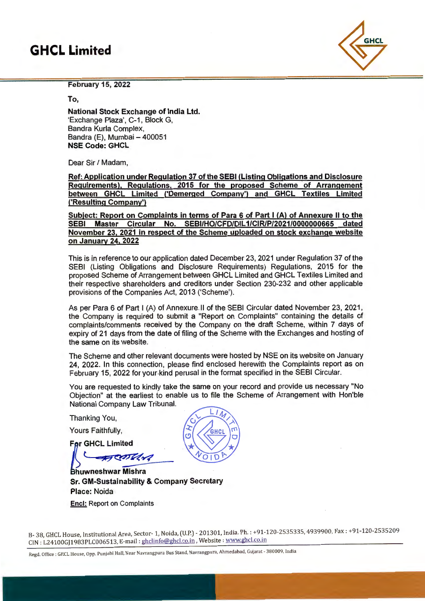## **GHCL Limited**



February 15, 2022

To,

National Stock Exchange of India Ltd. 'Exchange Plaza', C-1, Block G, Sandra Kurla Complex, Bandra (E), Mumbai  $-400051$ NSE Code: GHCL

Dear Sir / Madam,

Ref: Application under Regulation 37 of the SEBI (Listing Obligations and Disclosure Requirements), Regulations. 2015 for the proposed Scheme of Arrangement between GHCL Limited ('Demerged Company') and GHCL Textiles Limited ('Resulting Company')

Subject: Report on Complaints in terms of Para 6 of Part I (A) of Annexure II to the SEBI Master Circular No. SEBl/HO/CFD/DIL 1/CIR/P/2021/0000000665 dated November 23. 2021 in respect of the Scheme uploaded on stock exchange website on January 24. 2022

This is in reference to our application dated December 23, 2021 under Regulation 37 of the SEBI (Listing Obligations and Disclosure Requirements) Regulations, 2015 for the proposed Scheme of Arrangement between GHCL Limited and GHCL Textiles Limited and their respective shareholders and creditors under Section 230-232 and other applicable provisions of the Companies Act, 2013 ('Scheme').

As per Para 6 of Part I (A) of Annexure-11 of the SEBI Circular dated November 23, 2021 , the Company is required to submit a "Report on Complaints" containing the details of complaints/comments received by the Company on the draft Scheme, within 7 days of expiry of 21 days from the date of filing of the Scheme with the Exchanges and hosting of the same on its website.

The Scheme and other relevant documents were hosted by NSE on its website on January 24, 2022. In this connection, please find enclosed herewith the Complaints report as on February 15, 2022 for your.kind perusal in the format specified in the SEBI Circular.

You are requested to kindly take the same on your record and provide us necessary "No Objection" at the earliest to enable us to file the Scheme of Arrangement with Hon'ble National Company Law Tribunal.

Thanking You,

Yours Faithfully,

**For GHCL Limited** 

**Barry** 

Bhuwneshwar Mishra Sr. GM-Sustainability & Company Secretary Place: Noida **Encl: Report on Complaints** 



B- 38, GHCL House, Institutional Area, Sector-1, Noida, (U.P.) - 201301, India. Ph. : +91-120-2535335, 4939900, Fax: +91-120-2535209 CIN : L24100GJ1 983PLC006513, E-mail : ghclinfo@ghcl.co.in ,Website: www.ghcl.co.in

Regd. Office: GHCL House, Opp. Punjabi Hall, Near Navrangpura Bus Stand, Navrangpura, Ahmedabad, Gujarat - 380009, India